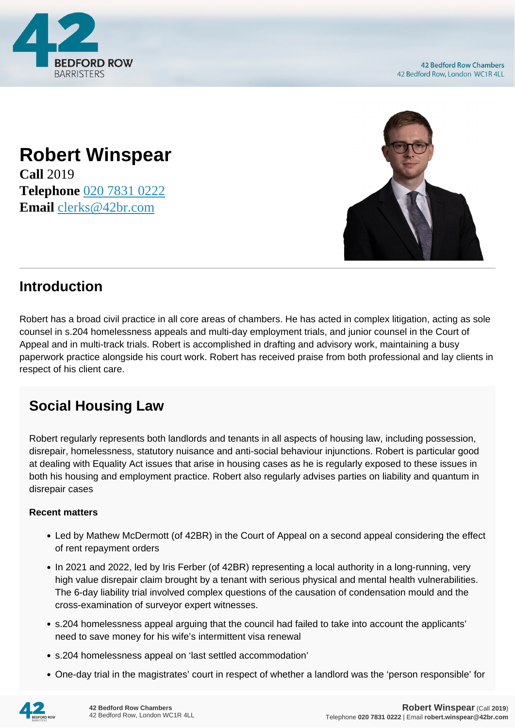

## **Robert Winspear Call** 2019 **Telephone** [020 7831 0222](https://pdf.codeshore.co/_42br/tel:020 7831 0222) **Email** [clerks@42br.com](mailto:clerks@42br.com)



## **Introduction**

Robert has a broad civil practice in all core areas of chambers. He has acted in complex litigation, acting as sole counsel in s.204 homelessness appeals and multi-day employment trials, and junior counsel in the Court of Appeal and in multi-track trials. Robert is accomplished in drafting and advisory work, maintaining a busy paperwork practice alongside his court work. Robert has received praise from both professional and lay clients in respect of his client care.

## **Social Housing Law**

Robert regularly represents both landlords and tenants in all aspects of housing law, including possession, disrepair, homelessness, statutory nuisance and anti-social behaviour injunctions. Robert is particular good at dealing with Equality Act issues that arise in housing cases as he is regularly exposed to these issues in both his housing and employment practice. Robert also regularly advises parties on liability and quantum in disrepair cases

## **Recent matters**

- Led by Mathew McDermott (of 42BR) in the Court of Appeal on a second appeal considering the effect of rent repayment orders
- In 2021 and 2022, led by Iris Ferber (of 42BR) representing a local authority in a long-running, very high value disrepair claim brought by a tenant with serious physical and mental health vulnerabilities. The 6-day liability trial involved complex questions of the causation of condensation mould and the cross-examination of surveyor expert witnesses.
- s.204 homelessness appeal arguing that the council had failed to take into account the applicants' need to save money for his wife's intermittent visa renewal
- s.204 homelessness appeal on 'last settled accommodation'
- One-day trial in the magistrates' court in respect of whether a landlord was the 'person responsible' for